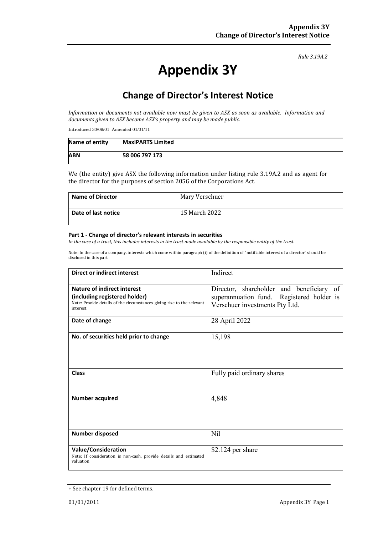#### *Rule 3.19A.2*

# **Appendix 3Y**

# **Change of Director's Interest Notice**

*Information or documents not available now must be given to ASX as soon as available. Information and documents given to ASX become ASX's property and may be made public.*

Introduced 30/09/01 Amended 01/01/11

| Name of entity | <b>MaxiPARTS Limited</b> |
|----------------|--------------------------|
| <b>ABN</b>     | 58 006 797 173           |

We (the entity) give ASX the following information under listing rule 3.19A.2 and as agent for the director for the purposes of section 205G of the Corporations Act.

| <b>Name of Director</b> | Mary Verschuer |
|-------------------------|----------------|
| Date of last notice     | 15 March 2022  |

#### **Part 1 - Change of director's relevant interests in securities**

*In the case of a trust, this includes interests in the trust made available by the responsible entity of the trust*

Note: In the case of a company, interests which come within paragraph (i) of the definition of "notifiable interest of a director" should be disclosed in this part.

| <b>Direct or indirect interest</b>                                                                                                                  | Indirect                                                                                                                |  |
|-----------------------------------------------------------------------------------------------------------------------------------------------------|-------------------------------------------------------------------------------------------------------------------------|--|
| Nature of indirect interest<br>(including registered holder)<br>Note: Provide details of the circumstances giving rise to the relevant<br>interest. | Director, shareholder and beneficiary of<br>superannuation fund. Registered holder is<br>Verschuer investments Pty Ltd. |  |
| Date of change                                                                                                                                      | 28 April 2022                                                                                                           |  |
| No. of securities held prior to change                                                                                                              | 15,198                                                                                                                  |  |
| <b>Class</b>                                                                                                                                        | Fully paid ordinary shares                                                                                              |  |
| Number acquired                                                                                                                                     | 4,848                                                                                                                   |  |
| Number disposed                                                                                                                                     | Nil                                                                                                                     |  |
| <b>Value/Consideration</b><br>Note: If consideration is non-cash, provide details and estimated<br>valuation                                        | $$2.124$ per share                                                                                                      |  |

<sup>+</sup> See chapter 19 for defined terms.